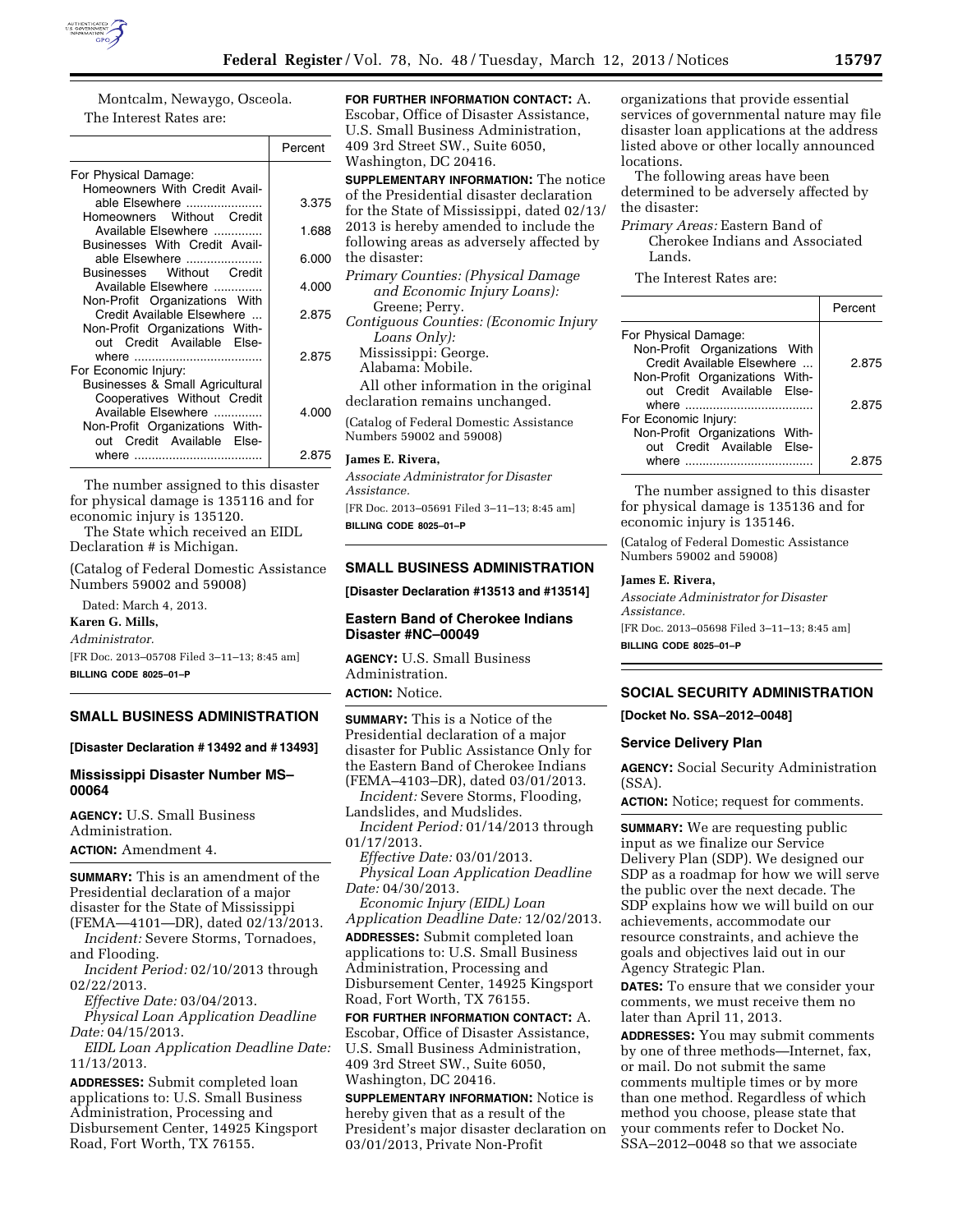

Montcalm, Newaygo, Osceola. The Interest Rates are:

|                                                                                                                             | Percent |
|-----------------------------------------------------------------------------------------------------------------------------|---------|
| For Physical Damage:                                                                                                        |         |
| Homeowners With Credit Avail-<br>able Elsewhere<br>Homeowners Without Credit                                                | 3.375   |
| Available Elsewhere<br>Businesses With Credit Avail-                                                                        | 1.688   |
| able Elsewhere<br>Businesses Without Credit                                                                                 | 6.000   |
| Available Elsewhere                                                                                                         | 4.000   |
| Non-Profit Organizations With<br>Credit Available Elsewhere<br>Non-Profit Organizations With-<br>out Credit Available Else- | 2.875   |
| For Economic Injury:                                                                                                        | 2.875   |
| Businesses & Small Agricultural<br>Cooperatives Without Credit<br>Available Elsewhere<br>Non-Profit Organizations With-     | 4.000   |
| out Credit Available Else-                                                                                                  | 2.875   |

The number assigned to this disaster for physical damage is 135116 and for economic injury is 135120.

The State which received an EIDL Declaration # is Michigan.

(Catalog of Federal Domestic Assistance Numbers 59002 and 59008)

Dated: March 4, 2013.

**Karen G. Mills,** 

*Administrator.*  [FR Doc. 2013–05708 Filed 3–11–13; 8:45 am] **BILLING CODE 8025–01–P** 

# **SMALL BUSINESS ADMINISTRATION**

## **[Disaster Declaration # 13492 and # 13493]**

# **Mississippi Disaster Number MS– 00064**

**AGENCY:** U.S. Small Business Administration.

**ACTION:** Amendment 4.

**SUMMARY:** This is an amendment of the Presidential declaration of a major disaster for the State of Mississippi

(FEMA—4101—DR), dated 02/13/2013. *Incident:* Severe Storms, Tornadoes, and Flooding.

*Incident Period:* 02/10/2013 through 02/22/2013.

*Effective Date:* 03/04/2013. *Physical Loan Application Deadline Date:* 04/15/2013.

*EIDL Loan Application Deadline Date:*  11/13/2013.

**ADDRESSES:** Submit completed loan applications to: U.S. Small Business Administration, Processing and Disbursement Center, 14925 Kingsport Road, Fort Worth, TX 76155.

# **FOR FURTHER INFORMATION CONTACT:** A.

Escobar, Office of Disaster Assistance, U.S. Small Business Administration, 409 3rd Street SW., Suite 6050, Washington, DC 20416.

**SUPPLEMENTARY INFORMATION:** The notice of the Presidential disaster declaration for the State of Mississippi, dated 02/13/ 2013 is hereby amended to include the following areas as adversely affected by the disaster:

*Primary Counties: (Physical Damage and Economic Injury Loans):*  Greene; Perry.

*Contiguous Counties: (Economic Injury Loans Only):*  Mississippi: George.

Alabama: Mobile.

All other information in the original declaration remains unchanged.

(Catalog of Federal Domestic Assistance Numbers 59002 and 59008)

### **James E. Rivera,**

*Associate Administrator for Disaster Assistance.*  [FR Doc. 2013–05691 Filed 3–11–13; 8:45 am]

**BILLING CODE 8025–01–P** 

### **SMALL BUSINESS ADMINISTRATION**

**[Disaster Declaration #13513 and #13514]** 

### **Eastern Band of Cherokee Indians Disaster #NC–00049**

**AGENCY:** U.S. Small Business Administration. **ACTION:** Notice.

**SUMMARY:** This is a Notice of the Presidential declaration of a major disaster for Public Assistance Only for the Eastern Band of Cherokee Indians (FEMA–4103–DR), dated 03/01/2013.

*Incident:* Severe Storms, Flooding, Landslides, and Mudslides.

*Incident Period:* 01/14/2013 through 01/17/2013.

*Effective Date:* 03/01/2013. *Physical Loan Application Deadline Date:* 04/30/2013.

*Economic Injury (EIDL) Loan Application Deadline Date:* 12/02/2013. **ADDRESSES:** Submit completed loan applications to: U.S. Small Business Administration, Processing and Disbursement Center, 14925 Kingsport Road, Fort Worth, TX 76155.

**FOR FURTHER INFORMATION CONTACT:** A. Escobar, Office of Disaster Assistance, U.S. Small Business Administration, 409 3rd Street SW., Suite 6050, Washington, DC 20416.

**SUPPLEMENTARY INFORMATION:** Notice is hereby given that as a result of the President's major disaster declaration on 03/01/2013, Private Non-Profit

organizations that provide essential services of governmental nature may file disaster loan applications at the address listed above or other locally announced locations.

The following areas have been determined to be adversely affected by the disaster:

## *Primary Areas:* Eastern Band of Cherokee Indians and Associated Lands.

The Interest Rates are:

|                                                              | Percent |
|--------------------------------------------------------------|---------|
| For Physical Damage:                                         |         |
| Non-Profit Organizations With<br>Credit Available Elsewhere  | 2.875   |
| Non-Profit Organizations With-<br>out Credit Available Else- |         |
|                                                              | 2.875   |
| For Economic Injury:                                         |         |
| Non-Profit Organizations With-                               |         |
| out Credit Available Else-                                   |         |
| where                                                        | 2 R7    |

The number assigned to this disaster for physical damage is 135136 and for economic injury is 135146.

(Catalog of Federal Domestic Assistance Numbers 59002 and 59008)

# **James E. Rivera,**

*Associate Administrator for Disaster Assistance.*  [FR Doc. 2013–05698 Filed 3–11–13; 8:45 am]

**BILLING CODE 8025–01–P** 

# **SOCIAL SECURITY ADMINISTRATION**

**[Docket No. SSA–2012–0048]** 

### **Service Delivery Plan**

**AGENCY:** Social Security Administration (SSA).

**ACTION:** Notice; request for comments.

**SUMMARY:** We are requesting public input as we finalize our Service Delivery Plan (SDP). We designed our SDP as a roadmap for how we will serve the public over the next decade. The SDP explains how we will build on our achievements, accommodate our resource constraints, and achieve the goals and objectives laid out in our Agency Strategic Plan.

**DATES:** To ensure that we consider your comments, we must receive them no later than April 11, 2013.

**ADDRESSES:** You may submit comments by one of three methods—Internet, fax, or mail. Do not submit the same comments multiple times or by more than one method. Regardless of which method you choose, please state that your comments refer to Docket No. SSA–2012–0048 so that we associate